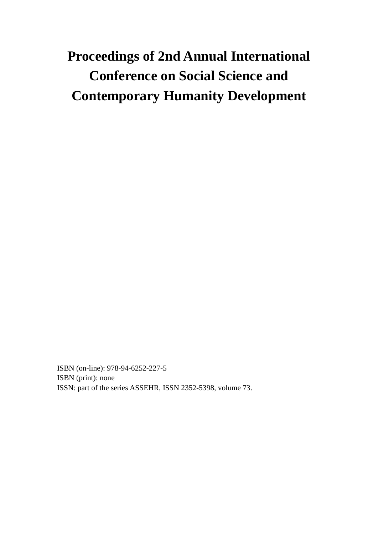# **Proceedings of 2nd Annual International Conference on Social Science and Contemporary Humanity Development**

ISBN (on-line): 978-94-6252-227-5 ISBN (print): none ISSN: part of the series ASSEHR, ISSN 2352-5398, volume 73.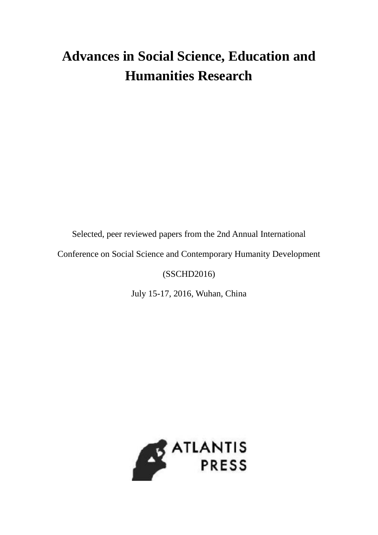# **Advances in Social Science, Education and Humanities Research**

Selected, peer reviewed papers from the 2nd Annual International

Conference on Social Science and Contemporary Humanity Development

(SSCHD2016)

July 15-17, 2016, Wuhan, China

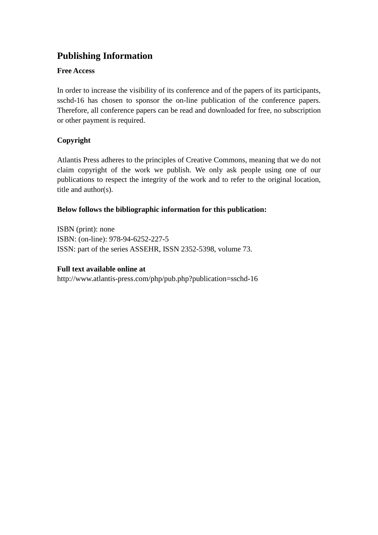## **Publishing Information**

### **Free Access**

In order to increase the visibility of its conference and of the papers of its participants, sschd-16 has chosen to sponsor the on-line publication of the conference papers. Therefore, all conference papers can be read and downloaded for free, no subscription or other payment is required.

### **Copyright**

Atlantis Press adheres to the principles of Creative Commons, meaning that we do not claim copyright of the work we publish. We only ask people using one of our publications to respect the integrity of the work and to refer to the original location, title and author(s).

### **Below follows the bibliographic information for this publication:**

ISBN (print): none ISBN: (on-line): 978-94-6252-227-5 ISSN: part of the series ASSEHR, ISSN 2352-5398, volume 73.

### **Full text available online at**

http://www.atlantis-press.com/php/pub.php?publication=sschd-16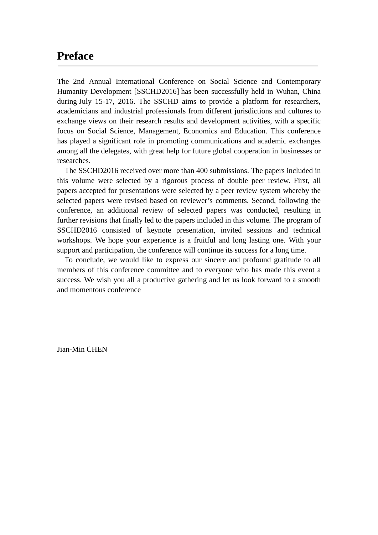### **Preface**

The 2nd Annual International Conference on Social Science and Contemporary Humanity Development [SSCHD2016] has been successfully held in Wuhan, China during July 15-17, 2016. The SSCHD aims to provide a platform for researchers, academicians and industrial professionals from different jurisdictions and cultures to exchange views on their research results and development activities, with a specific focus on Social Science, Management, Economics and Education. This conference has played a significant role in promoting communications and academic exchanges among all the delegates, with great help for future global cooperation in businesses or researches.

The SSCHD2016 received over more than 400 submissions. The papers included in this volume were selected by a rigorous process of double peer review. First, all papers accepted for presentations were selected by a peer review system whereby the selected papers were revised based on reviewer's comments. Second, following the conference, an additional review of selected papers was conducted, resulting in further revisions that finally led to the papers included in this volume. The program of SSCHD2016 consisted of keynote presentation, invited sessions and technical workshops. We hope your experience is a fruitful and long lasting one. With your support and participation, the conference will continue its success for a long time.

To conclude, we would like to express our sincere and profound gratitude to all members of this conference committee and to everyone who has made this event a success. We wish you all a productive gathering and let us look forward to a smooth and momentous conference

Jian-Min CHEN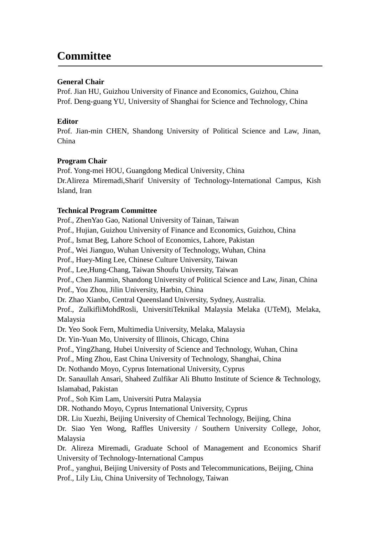# **Committee**

### **General Chair**

Prof. Jian HU, Guizhou University of Finance and Economics, Guizhou, China Prof. Deng-guang YU, University of Shanghai for Science and Technology, China

### **Editor**

Prof. Jian-min CHEN, Shandong University of Political Science and Law, Jinan, China

#### **Program Chair**

Prof. Yong-mei HOU, Guangdong Medical University, China Dr.Alireza Miremadi,Sharif University of Technology-International Campus, Kish Island, Iran

### **Technical Program Committee**

Prof., ZhenYao Gao, National University of Tainan, Taiwan Prof., Hujian, Guizhou University of Finance and Economics, Guizhou, China Prof., Ismat Beg, Lahore School of Economics, Lahore, Pakistan Prof., Wei Jianguo, Wuhan University of Technology, Wuhan, China Prof., Huey-Ming Lee, Chinese Culture University, Taiwan Prof., Lee,Hung-Chang, Taiwan Shoufu University, Taiwan Prof., Chen Jianmin, Shandong University of Political Science and Law, Jinan, China Prof., You Zhou, Jilin University, Harbin, China Dr. Zhao Xianbo, Central Queensland University, Sydney, Australia. Prof., ZulkifliMohdRosli, UniversitiTeknikal Malaysia Melaka (UTeM), Melaka, Malaysia Dr. Yeo Sook Fern, Multimedia University, Melaka, Malaysia Dr. Yin-Yuan Mo, University of Illinois, Chicago, China Prof., YingZhang, Hubei University of Science and Technology, Wuhan, China Prof., Ming Zhou, East China University of Technology, Shanghai, China Dr. Nothando Moyo, Cyprus International University, Cyprus Dr. Sanaullah Ansari, Shaheed Zulfikar Ali Bhutto Institute of Science & Technology, Islamabad, Pakistan Prof., Soh Kim Lam, Universiti Putra Malaysia DR. Nothando Moyo, Cyprus International University, Cyprus DR. Liu Xuezhi, Beijing University of Chemical Technology, Beijing, China Dr. Siao Yen Wong, Raffles University / Southern University College, Johor, Malaysia Dr. Alireza Miremadi, Graduate School of Management and Economics Sharif University of Technology-International Campus Prof., yanghui, Beijing University of Posts and Telecommunications, Beijing, China Prof., Lily Liu, China University of Technology, Taiwan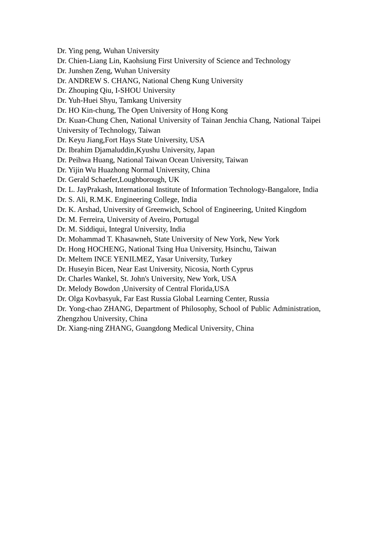Dr. Ying peng, Wuhan University

Dr. Chien-Liang Lin, Kaohsiung First University of Science and Technology

Dr. Junshen Zeng, Wuhan University

Dr. ANDREW S. CHANG, National Cheng Kung University

Dr. Zhouping Qiu, I-SHOU University

Dr. Yuh-Huei Shyu, Tamkang University

Dr. HO Kin-chung, The Open University of Hong Kong

Dr. Kuan-Chung Chen, National University of Tainan Jenchia Chang, National Taipei

University of Technology, Taiwan

Dr. Keyu Jiang,Fort Hays State University, USA

Dr. Ibrahim Djamaluddin,Kyushu University, Japan

Dr. Peihwa Huang, National Taiwan Ocean University, Taiwan

Dr. Yijin Wu Huazhong Normal University, China

Dr. Gerald Schaefer,Loughborough, UK

Dr. L. JayPrakash, International Institute of Information Technology-Bangalore, India

Dr. S. Ali, R.M.K. Engineering College, India

Dr. K. Arshad, University of Greenwich, School of Engineering, United Kingdom

Dr. M. Ferreira, University of Aveiro, Portugal

Dr. M. Siddiqui, Integral University, India

Dr. Mohammad T. Khasawneh, State University of New York, New York

Dr. Hong HOCHENG, National Tsing Hua University, Hsinchu, Taiwan

Dr. Meltem INCE YENILMEZ, Yasar University, Turkey

Dr. Huseyin Bicen, Near East University, Nicosia, North Cyprus

Dr. Charles Wankel, St. John's University, New York, USA

Dr. Melody Bowdon ,University of Central Florida,USA

Dr. Olga Kovbasyuk, Far East Russia Global Learning Center, Russia

Dr. Yong-chao ZHANG, Department of Philosophy, School of Public Administration, Zhengzhou University, China

Dr. Xiang-ning ZHANG, Guangdong Medical University, China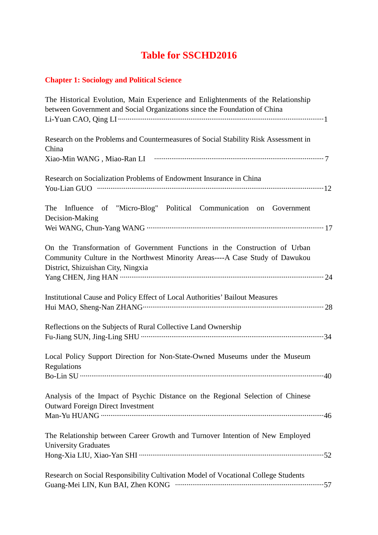# **Table for SSCHD2016**

### **Chapter 1: Sociology and Political Science**

| The Historical Evolution, Main Experience and Enlightenments of the Relationship<br>between Government and Social Organizations since the Foundation of China                                    |
|--------------------------------------------------------------------------------------------------------------------------------------------------------------------------------------------------|
|                                                                                                                                                                                                  |
| Research on the Problems and Countermeasures of Social Stability Risk Assessment in<br>China                                                                                                     |
|                                                                                                                                                                                                  |
| Research on Socialization Problems of Endowment Insurance in China                                                                                                                               |
|                                                                                                                                                                                                  |
| The Influence of "Micro-Blog" Political Communication on Government<br>Decision-Making                                                                                                           |
|                                                                                                                                                                                                  |
| On the Transformation of Government Functions in the Construction of Urban<br>Community Culture in the Northwest Minority Areas----A Case Study of Dawukou<br>District, Shizuishan City, Ningxia |
|                                                                                                                                                                                                  |
| Institutional Cause and Policy Effect of Local Authorities' Bailout Measures                                                                                                                     |
| Reflections on the Subjects of Rural Collective Land Ownership                                                                                                                                   |
| Local Policy Support Direction for Non-State-Owned Museums under the Museum<br>Regulations                                                                                                       |
|                                                                                                                                                                                                  |
| Analysis of the Impact of Psychic Distance on the Regional Selection of Chinese<br><b>Outward Foreign Direct Investment</b>                                                                      |
|                                                                                                                                                                                                  |
| The Relationship between Career Growth and Turnover Intention of New Employed<br><b>University Graduates</b>                                                                                     |
|                                                                                                                                                                                                  |
| Research on Social Responsibility Cultivation Model of Vocational College Students                                                                                                               |
|                                                                                                                                                                                                  |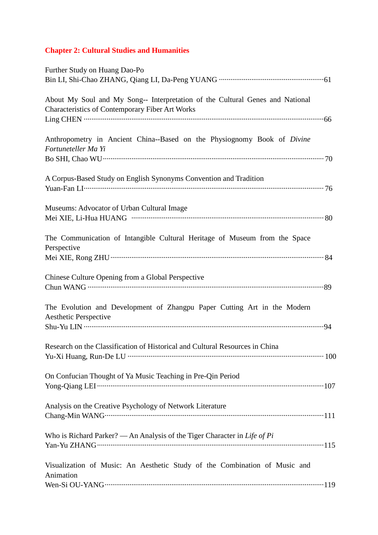## **Chapter 2: Cultural Studies and Humanities**

| Further Study on Huang Dao-Po                                                 |
|-------------------------------------------------------------------------------|
|                                                                               |
| About My Soul and My Song-- Interpretation of the Cultural Genes and National |
| <b>Characteristics of Contemporary Fiber Art Works</b>                        |
|                                                                               |
| Anthropometry in Ancient China--Based on the Physiognomy Book of Divine       |
| Fortuneteller Ma Yi                                                           |
|                                                                               |
|                                                                               |
| A Corpus-Based Study on English Synonyms Convention and Tradition             |
|                                                                               |
| Museums: Advocator of Urban Cultural Image                                    |
|                                                                               |
|                                                                               |
| The Communication of Intangible Cultural Heritage of Museum from the Space    |
| Perspective                                                                   |
|                                                                               |
| Chinese Culture Opening from a Global Perspective                             |
|                                                                               |
|                                                                               |
| The Evolution and Development of Zhangpu Paper Cutting Art in the Modern      |
| <b>Aesthetic Perspective</b>                                                  |
|                                                                               |
|                                                                               |
| Research on the Classification of Historical and Cultural Resources in China  |
|                                                                               |
| On Confucian Thought of Ya Music Teaching in Pre-Qin Period                   |
|                                                                               |
|                                                                               |
| Analysis on the Creative Psychology of Network Literature                     |
|                                                                               |
| Who is Richard Parker? — An Analysis of the Tiger Character in Life of Pi     |
|                                                                               |
|                                                                               |
| Visualization of Music: An Aesthetic Study of the Combination of Music and    |
| Animation                                                                     |
|                                                                               |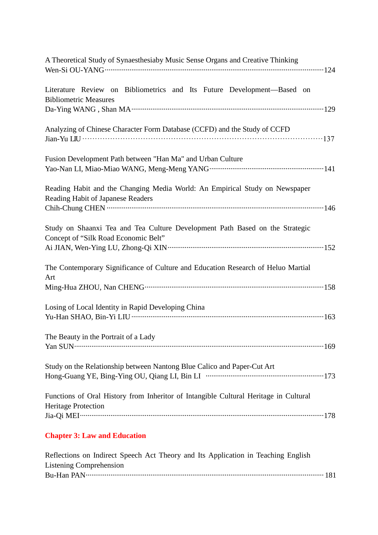| A Theoretical Study of Synaesthesiaby Music Sense Organs and Creative Thinking                                       |  |
|----------------------------------------------------------------------------------------------------------------------|--|
| Literature Review on Bibliometrics and Its Future Development—Based on<br><b>Bibliometric Measures</b>               |  |
| Analyzing of Chinese Character Form Database (CCFD) and the Study of CCFD                                            |  |
| Fusion Development Path between "Han Ma" and Urban Culture                                                           |  |
| Reading Habit and the Changing Media World: An Empirical Study on Newspaper<br>Reading Habit of Japanese Readers     |  |
| Study on Shaanxi Tea and Tea Culture Development Path Based on the Strategic<br>Concept of "Silk Road Economic Belt" |  |
| The Contemporary Significance of Culture and Education Research of Heluo Martial<br>Art                              |  |
|                                                                                                                      |  |
| Losing of Local Identity in Rapid Developing China                                                                   |  |
| The Beauty in the Portrait of a Lady                                                                                 |  |
| Study on the Relationship between Nantong Blue Calico and Paper-Cut Art                                              |  |
| Functions of Oral History from Inheritor of Intangible Cultural Heritage in Cultural<br><b>Heritage Protection</b>   |  |
| <b>Chapter 3: Law and Education</b>                                                                                  |  |
| Reflections on Indirect Speech Act Theory and Its Application in Teaching English<br><b>Listening Comprehension</b>  |  |

Bu-Han PAN ····························································································································· 181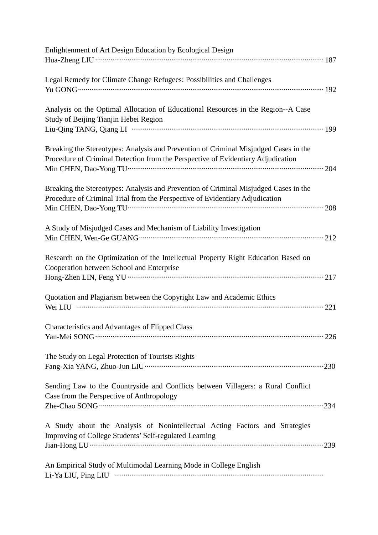| Enlightenment of Art Design Education by Ecological Design                           |  |
|--------------------------------------------------------------------------------------|--|
|                                                                                      |  |
| Legal Remedy for Climate Change Refugees: Possibilities and Challenges               |  |
|                                                                                      |  |
| Analysis on the Optimal Allocation of Educational Resources in the Region--A Case    |  |
| Study of Beijing Tianjin Hebei Region                                                |  |
|                                                                                      |  |
| Breaking the Stereotypes: Analysis and Prevention of Criminal Misjudged Cases in the |  |
| Procedure of Criminal Detection from the Perspective of Evidentiary Adjudication     |  |
|                                                                                      |  |
| Breaking the Stereotypes: Analysis and Prevention of Criminal Misjudged Cases in the |  |
| Procedure of Criminal Trial from the Perspective of Evidentiary Adjudication         |  |
|                                                                                      |  |
| A Study of Misjudged Cases and Mechanism of Liability Investigation                  |  |
|                                                                                      |  |
| Research on the Optimization of the Intellectual Property Right Education Based on   |  |
| Cooperation between School and Enterprise                                            |  |
|                                                                                      |  |
| Quotation and Plagiarism between the Copyright Law and Academic Ethics               |  |
|                                                                                      |  |
| Characteristics and Advantages of Flipped Class                                      |  |
|                                                                                      |  |
| The Study on Legal Protection of Tourists Rights                                     |  |
|                                                                                      |  |
| Sending Law to the Countryside and Conflicts between Villagers: a Rural Conflict     |  |
| Case from the Perspective of Anthropology                                            |  |
|                                                                                      |  |
| A Study about the Analysis of Nonintellectual Acting Factors and Strategies          |  |
| Improving of College Students' Self-regulated Learning                               |  |
|                                                                                      |  |
| An Empirical Study of Multimodal Learning Mode in College English                    |  |
|                                                                                      |  |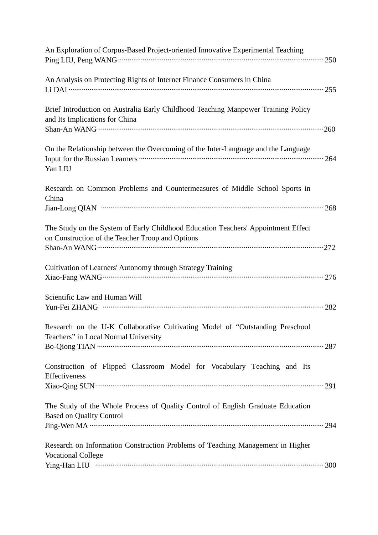| An Exploration of Corpus-Based Project-oriented Innovative Experimental Teaching                                                      |
|---------------------------------------------------------------------------------------------------------------------------------------|
| An Analysis on Protecting Rights of Internet Finance Consumers in China                                                               |
| Brief Introduction on Australia Early Childhood Teaching Manpower Training Policy<br>and Its Implications for China                   |
| On the Relationship between the Overcoming of the Inter-Language and the Language<br>Yan LIU                                          |
| Research on Common Problems and Countermeasures of Middle School Sports in<br>China                                                   |
| The Study on the System of Early Childhood Education Teachers' Appointment Effect<br>on Construction of the Teacher Troop and Options |
| Cultivation of Learners' Autonomy through Strategy Training                                                                           |
| Scientific Law and Human Will                                                                                                         |
| Research on the U-K Collaborative Cultivating Model of "Outstanding Preschool<br>Teachers" in Local Normal University                 |
| Construction of Flipped Classroom Model for Vocabulary Teaching and Its<br>Effectiveness                                              |
| The Study of the Whole Process of Quality Control of English Graduate Education<br><b>Based on Quality Control</b>                    |
| Research on Information Construction Problems of Teaching Management in Higher<br><b>Vocational College</b>                           |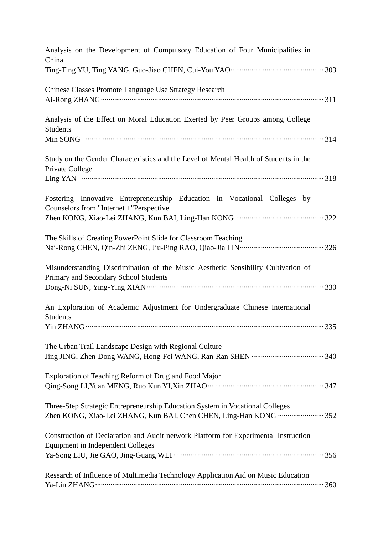| Analysis on the Development of Compulsory Education of Four Municipalities in<br>China                                                             |
|----------------------------------------------------------------------------------------------------------------------------------------------------|
|                                                                                                                                                    |
| <b>Chinese Classes Promote Language Use Strategy Research</b>                                                                                      |
| Analysis of the Effect on Moral Education Exerted by Peer Groups among College<br><b>Students</b>                                                  |
| Study on the Gender Characteristics and the Level of Mental Health of Students in the<br>Private College                                           |
| Fostering Innovative Entrepreneurship Education in Vocational Colleges by<br>Counselors from "Internet +"Perspective                               |
| The Skills of Creating PowerPoint Slide for Classroom Teaching                                                                                     |
| Misunderstanding Discrimination of the Music Aesthetic Sensibility Cultivation of<br>Primary and Secondary School Students                         |
| An Exploration of Academic Adjustment for Undergraduate Chinese International<br>Students                                                          |
| The Urban Trail Landscape Design with Regional Culture                                                                                             |
| Exploration of Teaching Reform of Drug and Food Major                                                                                              |
| Three-Step Strategic Entrepreneurship Education System in Vocational Colleges<br>Zhen KONG, Xiao-Lei ZHANG, Kun BAI, Chen CHEN, Ling-Han KONG  352 |
| Construction of Declaration and Audit network Platform for Experimental Instruction<br><b>Equipment in Independent Colleges</b>                    |
| Research of Influence of Multimedia Technology Application Aid on Music Education                                                                  |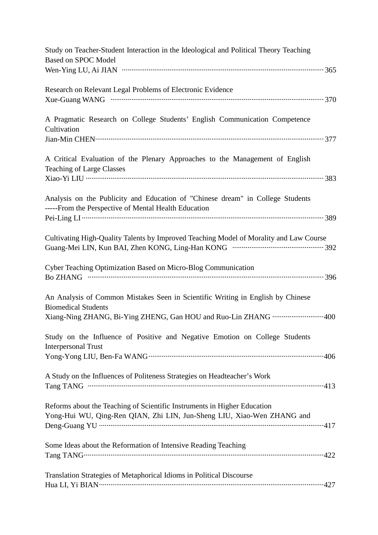| Study on Teacher-Student Interaction in the Ideological and Political Theory Teaching<br><b>Based on SPOC Model</b>                                                              |
|----------------------------------------------------------------------------------------------------------------------------------------------------------------------------------|
|                                                                                                                                                                                  |
| Research on Relevant Legal Problems of Electronic Evidence                                                                                                                       |
| A Pragmatic Research on College Students' English Communication Competence<br>Cultivation                                                                                        |
| A Critical Evaluation of the Plenary Approaches to the Management of English<br><b>Teaching of Large Classes</b>                                                                 |
| Analysis on the Publicity and Education of "Chinese dream" in College Students<br>-----From the Perspective of Mental Health Education                                           |
| Cultivating High-Quality Talents by Improved Teaching Model of Morality and Law Course                                                                                           |
| Cyber Teaching Optimization Based on Micro-Blog Communication                                                                                                                    |
| An Analysis of Common Mistakes Seen in Scientific Writing in English by Chinese<br><b>Biomedical Students</b><br>Xiang-Ning ZHANG, Bi-Ying ZHENG, Gan HOU and Ruo-Lin ZHANG  400 |
| Study on the Influence of Positive and Negative Emotion on College Students<br><b>Interpersonal Trust</b>                                                                        |
| A Study on the Influences of Politeness Strategies on Headteacher's Work                                                                                                         |
| Reforms about the Teaching of Scientific Instruments in Higher Education<br>Yong-Hui WU, Qing-Ren QIAN, Zhi LIN, Jun-Sheng LIU, Xiao-Wen ZHANG and                               |
| Some Ideas about the Reformation of Intensive Reading Teaching                                                                                                                   |
| Translation Strategies of Metaphorical Idioms in Political Discourse                                                                                                             |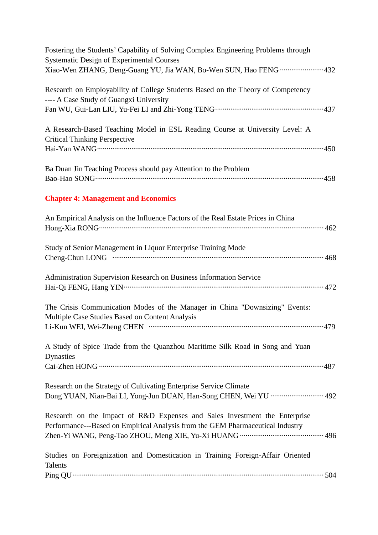| Fostering the Students' Capability of Solving Complex Engineering Problems through<br><b>Systematic Design of Experimental Courses</b>                       |
|--------------------------------------------------------------------------------------------------------------------------------------------------------------|
| Xiao-Wen ZHANG, Deng-Guang YU, Jia WAN, Bo-Wen SUN, Hao FENG 432                                                                                             |
| Research on Employability of College Students Based on the Theory of Competency<br>---- A Case Study of Guangxi University                                   |
| A Research-Based Teaching Model in ESL Reading Course at University Level: A<br><b>Critical Thinking Perspective</b>                                         |
| Ba Duan Jin Teaching Process should pay Attention to the Problem                                                                                             |
| <b>Chapter 4: Management and Economics</b>                                                                                                                   |
| An Empirical Analysis on the Influence Factors of the Real Estate Prices in China                                                                            |
| Study of Senior Management in Liquor Enterprise Training Mode                                                                                                |
| Administration Supervision Research on Business Information Service                                                                                          |
| The Crisis Communication Modes of the Manager in China "Downsizing" Events:<br>Multiple Case Studies Based on Content Analysis                               |
| A Study of Spice Trade from the Quanzhou Maritime Silk Road in Song and Yuan<br><b>Dynasties</b>                                                             |
| Research on the Strategy of Cultivating Enterprise Service Climate<br>Dong YUAN, Nian-Bai LI, Yong-Jun DUAN, Han-Song CHEN, Wei YU  492                      |
| Research on the Impact of R&D Expenses and Sales Investment the Enterprise<br>Performance---Based on Empirical Analysis from the GEM Pharmaceutical Industry |
| Studies on Foreignization and Domestication in Training Foreign-Affair Oriented<br><b>Talents</b>                                                            |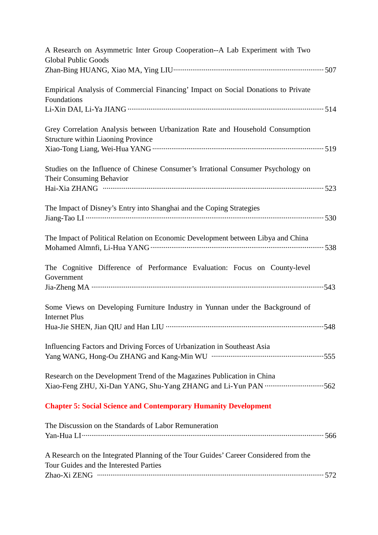| A Research on Asymmetric Inter Group Cooperation--A Lab Experiment with Two<br><b>Global Public Goods</b>                      |
|--------------------------------------------------------------------------------------------------------------------------------|
| Empirical Analysis of Commercial Financing' Impact on Social Donations to Private<br>Foundations                               |
| Grey Correlation Analysis between Urbanization Rate and Household Consumption<br><b>Structure within Liaoning Province</b>     |
| Studies on the Influence of Chinese Consumer's Irrational Consumer Psychology on<br>Their Consuming Behavior                   |
| The Impact of Disney's Entry into Shanghai and the Coping Strategies                                                           |
| The Impact of Political Relation on Economic Development between Libya and China                                               |
| The Cognitive Difference of Performance Evaluation: Focus on County-level<br>Government                                        |
| Some Views on Developing Furniture Industry in Yunnan under the Background of<br><b>Internet Plus</b>                          |
| Influencing Factors and Driving Forces of Urbanization in Southeast Asia                                                       |
| Research on the Development Trend of the Magazines Publication in China                                                        |
| <b>Chapter 5: Social Science and Contemporary Humanity Development</b>                                                         |
| The Discussion on the Standards of Labor Remuneration                                                                          |
| A Research on the Integrated Planning of the Tour Guides' Career Considered from the<br>Tour Guides and the Interested Parties |
|                                                                                                                                |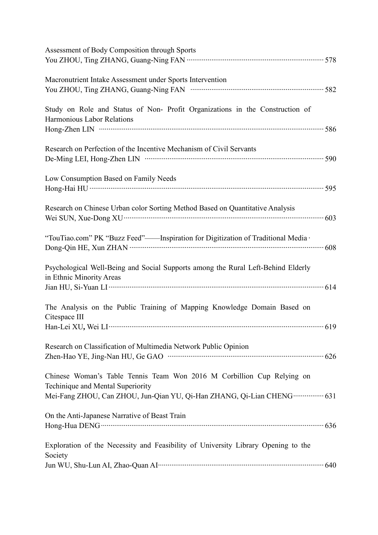| Assessment of Body Composition through Sports                                                                                                                                                         |
|-------------------------------------------------------------------------------------------------------------------------------------------------------------------------------------------------------|
| Macronutrient Intake Assessment under Sports Intervention                                                                                                                                             |
| Study on Role and Status of Non-Profit Organizations in the Construction of<br>Harmonious Labor Relations                                                                                             |
| Research on Perfection of the Incentive Mechanism of Civil Servants                                                                                                                                   |
| Low Consumption Based on Family Needs                                                                                                                                                                 |
| Research on Chinese Urban color Sorting Method Based on Quantitative Analysis                                                                                                                         |
| "TouTiao.com" PK "Buzz Feed"-- Inspiration for Digitization of Traditional Media .                                                                                                                    |
| Psychological Well-Being and Social Supports among the Rural Left-Behind Elderly<br>in Ethnic Minority Areas                                                                                          |
| The Analysis on the Public Training of Mapping Knowledge Domain Based on<br>Citespace III                                                                                                             |
| Research on Classification of Multimedia Network Public Opinion                                                                                                                                       |
| Chinese Woman's Table Tennis Team Won 2016 M Corbillion Cup Relying on<br>Techinique and Mental Superiority<br>Mei-Fang ZHOU, Can ZHOU, Jun-Qian YU, Qi-Han ZHANG, Qi-Lian CHENG ················ 631 |
| On the Anti-Japanese Narrative of Beast Train                                                                                                                                                         |
| Exploration of the Necessity and Feasibility of University Library Opening to the<br>Society                                                                                                          |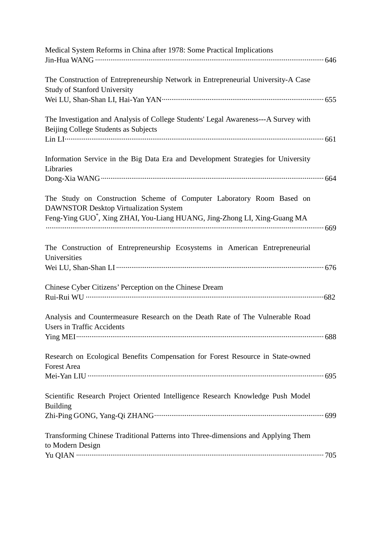| Medical System Reforms in China after 1978: Some Practical Implications                                                                                                                                         |  |
|-----------------------------------------------------------------------------------------------------------------------------------------------------------------------------------------------------------------|--|
| The Construction of Entrepreneurship Network in Entrepreneurial University-A Case<br><b>Study of Stanford University</b>                                                                                        |  |
| The Investigation and Analysis of College Students' Legal Awareness---A Survey with<br>Beijing College Students as Subjects                                                                                     |  |
| Information Service in the Big Data Era and Development Strategies for University<br>Libraries                                                                                                                  |  |
| The Study on Construction Scheme of Computer Laboratory Room Based on<br><b>DAWNSTOR Desktop Virtualization System</b><br>Feng-Ying GUO <sup>*</sup> , Xing ZHAI, You-Liang HUANG, Jing-Zhong LI, Xing-Guang MA |  |
| The Construction of Entrepreneurship Ecosystems in American Entrepreneurial<br>Universities                                                                                                                     |  |
| Chinese Cyber Citizens' Perception on the Chinese Dream                                                                                                                                                         |  |
| Analysis and Countermeasure Research on the Death Rate of The Vulnerable Road<br><b>Users in Traffic Accidents</b>                                                                                              |  |
| Research on Ecological Benefits Compensation for Forest Resource in State-owned<br><b>Forest Area</b>                                                                                                           |  |
| Scientific Research Project Oriented Intelligence Research Knowledge Push Model<br><b>Building</b>                                                                                                              |  |
| Transforming Chinese Traditional Patterns into Three-dimensions and Applying Them<br>to Modern Design                                                                                                           |  |